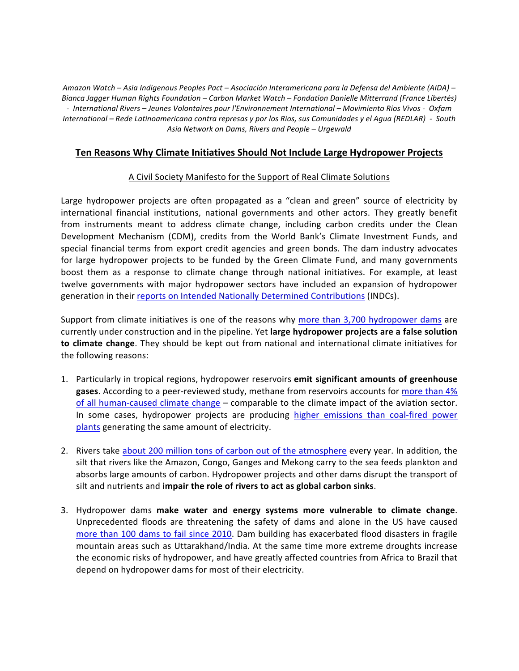*Amazon Watch – Asia Indigenous Peoples Pact – Asociación Interamericana para la Defensa del Ambiente (AIDA) – Bianca Jagger Human Rights Foundation – Carbon Market Watch – Fondation Danielle Mitterrand (France Libertés) - International Rivers – Jeunes Volontaires pour l'Environnement International – Movimiento Rios Vivos - Oxfam International* – Rede Latinoamericana contra represas y por los Rios, sus Comunidades y el Agua (REDLAR) - South *Asia Network on Dams, Rivers and People – Urgewald*

# **Ten Reasons Why Climate Initiatives Should Not Include Large Hydropower Projects**

# A Civil Society Manifesto for the Support of Real Climate Solutions

Large hydropower projects are often propagated as a "clean and green" source of electricity by international financial institutions, national governments and other actors. They greatly benefit from instruments meant to address climate change, including carbon credits under the Clean Development Mechanism (CDM), credits from the World Bank's Climate Investment Funds, and special financial terms from export credit agencies and green bonds. The dam industry advocates for large hydropower projects to be funded by the Green Climate Fund, and many governments boost them as a response to climate change through national initiatives. For example, at least twelve governments with major hydropower sectors have included an expansion of hydropower generation in their reports on Intended Nationally Determined Contributions (INDCs).

Support from climate initiatives is one of the reasons why more than 3,700 hydropower dams are currently under construction and in the pipeline. Yet **large hydropower projects are a false solution to climate change**. They should be kept out from national and international climate initiatives for the following reasons:

- 1. Particularly in tropical regions, hydropower reservoirs **emit significant amounts of greenhouse** gases. According to a peer-reviewed study, methane from reservoirs accounts for more than 4% of all human-caused climate change – comparable to the climate impact of the aviation sector. In some cases, hydropower projects are producing higher emissions than coal-fired power plants generating the same amount of electricity.
- 2. Rivers take about 200 million tons of carbon out of the atmosphere every year. In addition, the silt that rivers like the Amazon, Congo, Ganges and Mekong carry to the sea feeds plankton and absorbs large amounts of carbon. Hydropower projects and other dams disrupt the transport of silt and nutrients and **impair the role of rivers to act as global carbon sinks**.
- 3. Hydropower dams **make water and energy systems more vulnerable to climate change**. Unprecedented floods are threatening the safety of dams and alone in the US have caused more than 100 dams to fail since 2010. Dam building has exacerbated flood disasters in fragile mountain areas such as Uttarakhand/India. At the same time more extreme droughts increase the economic risks of hydropower, and have greatly affected countries from Africa to Brazil that depend on hydropower dams for most of their electricity.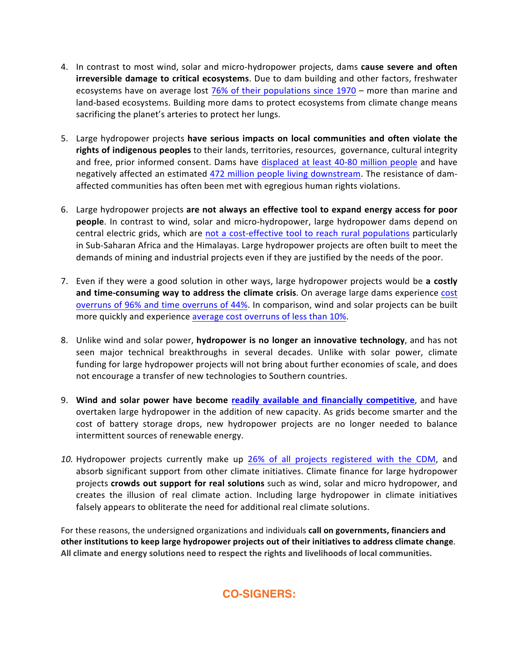- 4. In contrast to most wind, solar and micro-hydropower projects, dams **cause severe and often irreversible damage to critical ecosystems**. Due to dam building and other factors, freshwater ecosystems have on average lost 76% of their populations since 1970 – more than marine and land-based ecosystems. Building more dams to protect ecosystems from climate change means sacrificing the planet's arteries to protect her lungs.
- 5. Large hydropower projects **have serious impacts on local communities and often violate the** rights of indigenous peoples to their lands, territories, resources, governance, cultural integrity and free, prior informed consent. Dams have displaced at least 40-80 million people and have negatively affected an estimated 472 million people living downstream. The resistance of damaffected communities has often been met with egregious human rights violations.
- 6. Large hydropower projects are not always an effective tool to expand energy access for poor **people**. In contrast to wind, solar and micro-hydropower, large hydropower dams depend on central electric grids, which are not a cost-effective tool to reach rural populations particularly in Sub-Saharan Africa and the Himalayas. Large hydropower projects are often built to meet the demands of mining and industrial projects even if they are justified by the needs of the poor.
- 7. Even if they were a good solution in other ways, large hydropower projects would be a costly and time-consuming way to address the climate crisis. On average large dams experience cost overruns of 96% and time overruns of 44%. In comparison, wind and solar projects can be built more quickly and experience average cost overruns of less than 10%.
- 8. Unlike wind and solar power, **hydropower is no longer an innovative technology**, and has not seen major technical breakthroughs in several decades. Unlike with solar power, climate funding for large hydropower projects will not bring about further economies of scale, and does not encourage a transfer of new technologies to Southern countries.
- 9. Wind and solar power have become readily available and financially competitive, and have overtaken large hydropower in the addition of new capacity. As grids become smarter and the cost of battery storage drops, new hydropower projects are no longer needed to balance intermittent sources of renewable energy.
- 10. Hydropower projects currently make up 26% of all projects registered with the CDM, and absorb significant support from other climate initiatives. Climate finance for large hydropower projects **crowds out support for real solutions** such as wind, solar and micro hydropower, and creates the illusion of real climate action. Including large hydropower in climate initiatives falsely appears to obliterate the need for additional real climate solutions.

For these reasons, the undersigned organizations and individuals call on governments, financiers and **other institutions to keep large hydropower projects out of their initiatives to address climate change.** All climate and energy solutions need to respect the rights and livelihoods of local communities.

**CO-SIGNERS:**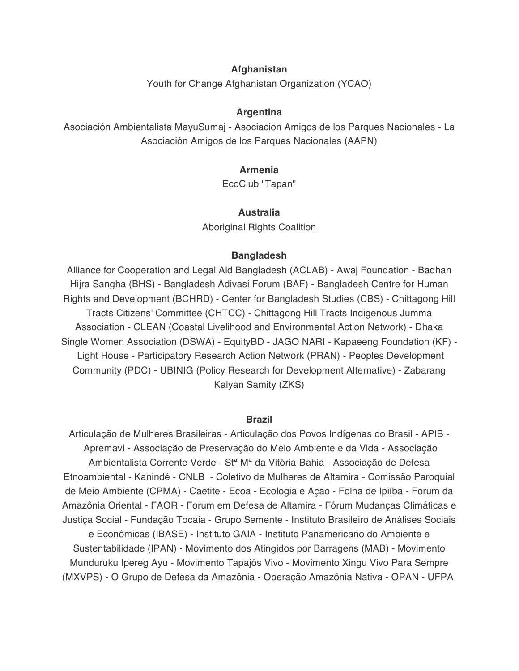## **Afghanistan**

Youth for Change Afghanistan Organization (YCAO)

### **Argentina**

Asociación Ambientalista MayuSumaj - Asociacion Amigos de los Parques Nacionales - La Asociación Amigos de los Parques Nacionales (AAPN)

#### **Armenia**

EcoClub "Tapan"

#### **Australia**

Aboriginal Rights Coalition

### **Bangladesh**

Alliance for Cooperation and Legal Aid Bangladesh (ACLAB) - Awaj Foundation - Badhan Hijra Sangha (BHS) - Bangladesh Adivasi Forum (BAF) - Bangladesh Centre for Human Rights and Development (BCHRD) - Center for Bangladesh Studies (CBS) - Chittagong Hill Tracts Citizens' Committee (CHTCC) - Chittagong Hill Tracts Indigenous Jumma Association - CLEAN (Coastal Livelihood and Environmental Action Network) - Dhaka Single Women Association (DSWA) - EquityBD - JAGO NARI - Kapaeeng Foundation (KF) - Light House - Participatory Research Action Network (PRAN) - Peoples Development Community (PDC) - UBINIG (Policy Research for Development Alternative) - Zabarang Kalyan Samity (ZKS)

#### **Brazil**

Articulação de Mulheres Brasileiras - Articulação dos Povos Indígenas do Brasil - APIB - Apremavi - Associação de Preservação do Meio Ambiente e da Vida - Associação Ambientalista Corrente Verde - Stª Mª da Vitória-Bahia - Associação de Defesa Etnoambiental - Kanindé - CNLB - Coletivo de Mulheres de Altamira - Comissão Paroquial de Meio Ambiente (CPMA) - Caetite - Ecoa - Ecologia e Ação - Folha de Ipiíba - Forum da Amazônia Oriental - FAOR - Forum em Defesa de Altamira - Fórum Mudanças Climáticas e Justiça Social - Fundação Tocaia - Grupo Semente - Instituto Brasileiro de Análises Sociais e Econômicas (IBASE) - Instituto GAIA - Instituto Panamericano do Ambiente e Sustentabilidade (IPAN) - Movimento dos Atingidos por Barragens (MAB) - Movimento Munduruku Ipereg Ayu - Movimento Tapajós Vivo - Movimento Xingu Vivo Para Sempre (MXVPS) - O Grupo de Defesa da Amazônia - Operação Amazônia Nativa - OPAN - UFPA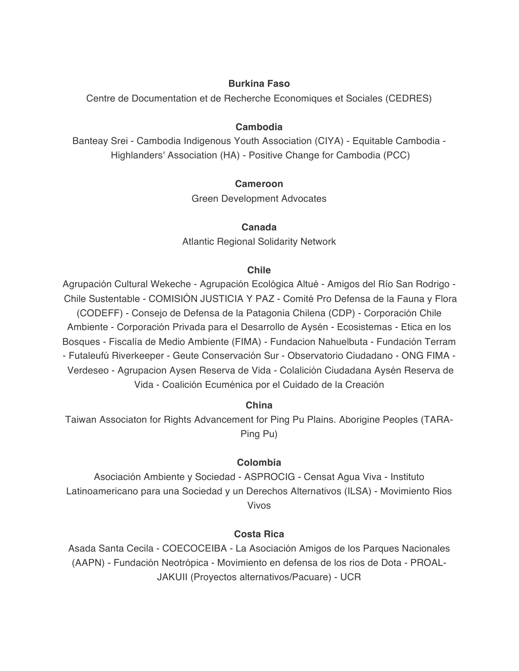# **Burkina Faso**

Centre de Documentation et de Recherche Economiques et Sociales (CEDRES)

# **Cambodia**

Banteay Srei - Cambodia Indigenous Youth Association (CIYA) - Equitable Cambodia - Highlanders' Association (HA) - Positive Change for Cambodia (PCC)

# **Cameroon**

Green Development Advocates

# **Canada**

Atlantic Regional Solidarity Network

# **Chile**

Agrupación Cultural Wekeche - Agrupación Ecológica Altué - Amigos del Río San Rodrigo - Chile Sustentable - COMISIÓN JUSTICIA Y PAZ - Comité Pro Defensa de la Fauna y Flora (CODEFF) - Consejo de Defensa de la Patagonia Chilena (CDP) - Corporación Chile Ambiente - Corporación Privada para el Desarrollo de Aysén - Ecosistemas - Etica en los Bosques - Fiscalía de Medio Ambiente (FIMA) - Fundacion Nahuelbuta - Fundación Terram - Futaleufú Riverkeeper - Geute Conservación Sur - Observatorio Ciudadano - ONG FIMA - Verdeseo - Agrupacion Aysen Reserva de Vida - Colalición Ciudadana Aysén Reserva de Vida - Coalición Ecuménica por el Cuidado de la Creación

# **China**

Taiwan Associaton for Rights Advancement for Ping Pu Plains. Aborigine Peoples (TARA-Ping Pu)

# **Colombia**

Asociación Ambiente y Sociedad - ASPROCIG - Censat Agua Viva - Instituto Latinoamericano para una Sociedad y un Derechos Alternativos (ILSA) - Movimiento Rios Vivos

# **Costa Rica**

Asada Santa Cecila - COECOCEIBA - La Asociación Amigos de los Parques Nacionales (AAPN) - Fundación Neotrópica - Movimiento en defensa de los rios de Dota - PROAL-JAKUII (Proyectos alternativos/Pacuare) - UCR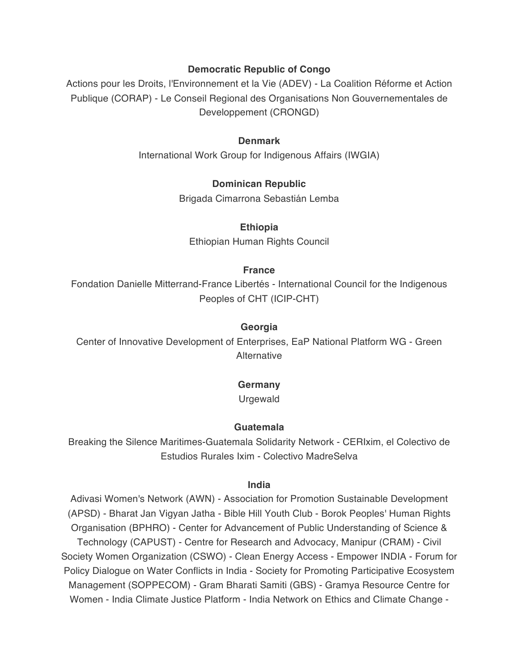# **Democratic Republic of Congo**

Actions pour les Droits, l'Environnement et la Vie (ADEV) - La Coalition Réforme et Action Publique (CORAP) - Le Conseil Regional des Organisations Non Gouvernementales de Developpement (CRONGD)

## **Denmark**

International Work Group for Indigenous Affairs (IWGIA)

## **Dominican Republic**

Brigada Cimarrona Sebastián Lemba

#### **Ethiopia**

Ethiopian Human Rights Council

## **France**

Fondation Danielle Mitterrand-France Libertés - International Council for the Indigenous Peoples of CHT (ICIP-CHT)

## **Georgia**

Center of Innovative Development of Enterprises, EaP National Platform WG - Green **Alternative** 

#### **Germany**

Urgewald

#### **Guatemala**

Breaking the Silence Maritimes-Guatemala Solidarity Network - CERIxim, el Colectivo de Estudios Rurales Ixim - Colectivo MadreSelva

#### **India**

Adivasi Women's Network (AWN) - Association for Promotion Sustainable Development (APSD) - Bharat Jan Vigyan Jatha - Bible Hill Youth Club - Borok Peoples' Human Rights Organisation (BPHRO) - Center for Advancement of Public Understanding of Science & Technology (CAPUST) - Centre for Research and Advocacy, Manipur (CRAM) - Civil Society Women Organization (CSWO) - Clean Energy Access - Empower INDIA - Forum for Policy Dialogue on Water Conflicts in India - Society for Promoting Participative Ecosystem Management (SOPPECOM) - Gram Bharati Samiti (GBS) - Gramya Resource Centre for Women - India Climate Justice Platform - India Network on Ethics and Climate Change -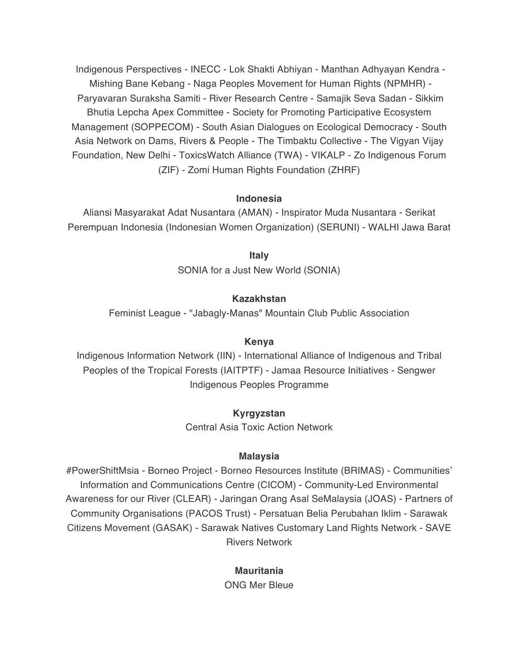Indigenous Perspectives - INECC - Lok Shakti Abhiyan - Manthan Adhyayan Kendra - Mishing Bane Kebang - Naga Peoples Movement for Human Rights (NPMHR) - Paryavaran Suraksha Samiti - River Research Centre - Samajik Seva Sadan - Sikkim Bhutia Lepcha Apex Committee - Society for Promoting Participative Ecosystem Management (SOPPECOM) - South Asian Dialogues on Ecological Democracy - South Asia Network on Dams, Rivers & People - The Timbaktu Collective - The Vigyan Vijay Foundation, New Delhi - ToxicsWatch Alliance (TWA) - VIKALP - Zo Indigenous Forum (ZIF) - Zomi Human Rights Foundation (ZHRF)

## **Indonesia**

Aliansi Masyarakat Adat Nusantara (AMAN) - Inspirator Muda Nusantara - Serikat Perempuan Indonesia (Indonesian Women Organization) (SERUNI) - WALHI Jawa Barat

> **Italy** SONIA for a Just New World (SONIA)

# **Kazakhstan**

Feminist League - "Jabagly-Manas" Mountain Club Public Association

#### **Kenya**

Indigenous Information Network (IIN) - International Alliance of Indigenous and Tribal Peoples of the Tropical Forests (IAITPTF) - Jamaa Resource Initiatives - Sengwer Indigenous Peoples Programme

#### **Kyrgyzstan**

Central Asia Toxic Action Network

#### **Malaysia**

#PowerShiftMsia - Borneo Project - Borneo Resources Institute (BRIMAS) - Communities' Information and Communications Centre (CICOM) - Community-Led Environmental Awareness for our River (CLEAR) - Jaringan Orang Asal SeMalaysia (JOAS) - Partners of Community Organisations (PACOS Trust) - Persatuan Belia Perubahan Iklim - Sarawak Citizens Movement (GASAK) - Sarawak Natives Customary Land Rights Network - SAVE Rivers Network

# **Mauritania**

ONG Mer Bleue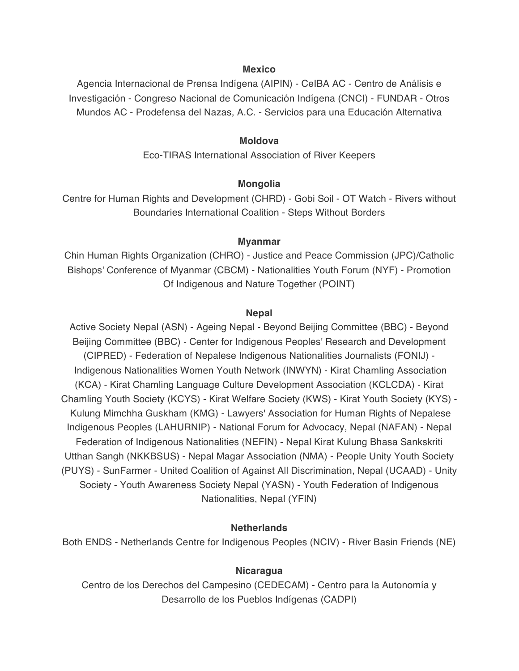## **Mexico**

Agencia Internacional de Prensa Indígena (AIPIN) - CeIBA AC - Centro de Análisis e Investigación - Congreso Nacional de Comunicación Indígena (CNCI) - FUNDAR - Otros Mundos AC - Prodefensa del Nazas, A.C. - Servicios para una Educación Alternativa

#### **Moldova**

Eco-TIRAS International Association of River Keepers

#### **Mongolia**

Centre for Human Rights and Development (CHRD) - Gobi Soil - OT Watch - Rivers without Boundaries International Coalition - Steps Without Borders

#### **Myanmar**

Chin Human Rights Organization (CHRO) - Justice and Peace Commission (JPC)/Catholic Bishops' Conference of Myanmar (CBCM) - Nationalities Youth Forum (NYF) - Promotion Of Indigenous and Nature Together (POINT)

#### **Nepal**

Active Society Nepal (ASN) - Ageing Nepal - Beyond Beijing Committee (BBC) - Beyond Beijing Committee (BBC) - Center for Indigenous Peoples' Research and Development (CIPRED) - Federation of Nepalese Indigenous Nationalities Journalists (FONIJ) - Indigenous Nationalities Women Youth Network (INWYN) - Kirat Chamling Association (KCA) - Kirat Chamling Language Culture Development Association (KCLCDA) - Kirat Chamling Youth Society (KCYS) - Kirat Welfare Society (KWS) - Kirat Youth Society (KYS) - Kulung Mimchha Guskham (KMG) - Lawyers' Association for Human Rights of Nepalese Indigenous Peoples (LAHURNIP) - National Forum for Advocacy, Nepal (NAFAN) - Nepal Federation of Indigenous Nationalities (NEFIN) - Nepal Kirat Kulung Bhasa Sankskriti Utthan Sangh (NKKBSUS) - Nepal Magar Association (NMA) - People Unity Youth Society (PUYS) - SunFarmer - United Coalition of Against All Discrimination, Nepal (UCAAD) - Unity Society - Youth Awareness Society Nepal (YASN) - Youth Federation of Indigenous Nationalities, Nepal (YFIN)

## **Netherlands**

Both ENDS - Netherlands Centre for Indigenous Peoples (NCIV) - River Basin Friends (NE)

#### **Nicaragua**

Centro de los Derechos del Campesino (CEDECAM) - Centro para la Autonomía y Desarrollo de los Pueblos Indígenas (CADPI)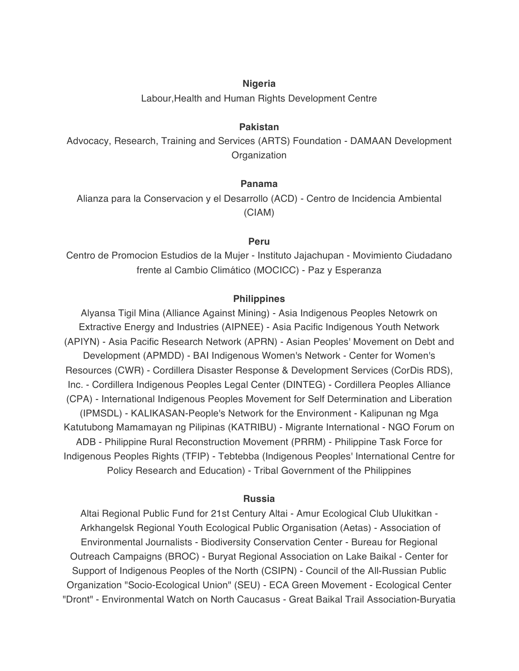### **Nigeria**

Labour,Health and Human Rights Development Centre

# **Pakistan**

Advocacy, Research, Training and Services (ARTS) Foundation - DAMAAN Development **Organization** 

## **Panama**

Alianza para la Conservacion y el Desarrollo (ACD) - Centro de Incidencia Ambiental (CIAM)

#### **Peru**

Centro de Promocion Estudios de la Mujer - Instituto Jajachupan - Movimiento Ciudadano frente al Cambio Climático (MOCICC) - Paz y Esperanza

### **Philippines**

Alyansa Tigil Mina (Alliance Against Mining) - Asia Indigenous Peoples Netowrk on Extractive Energy and Industries (AIPNEE) - Asia Pacific Indigenous Youth Network (APIYN) - Asia Pacific Research Network (APRN) - Asian Peoples' Movement on Debt and Development (APMDD) - BAI Indigenous Women's Network - Center for Women's Resources (CWR) - Cordillera Disaster Response & Development Services (CorDis RDS), Inc. - Cordillera Indigenous Peoples Legal Center (DINTEG) - Cordillera Peoples Alliance (CPA) - International Indigenous Peoples Movement for Self Determination and Liberation (IPMSDL) - KALIKASAN-People's Network for the Environment - Kalipunan ng Mga Katutubong Mamamayan ng Pilipinas (KATRIBU) - Migrante International - NGO Forum on ADB - Philippine Rural Reconstruction Movement (PRRM) - Philippine Task Force for Indigenous Peoples Rights (TFIP) - Tebtebba (Indigenous Peoples' International Centre for Policy Research and Education) - Tribal Government of the Philippines

#### **Russia**

Altai Regional Public Fund for 21st Century Altai - Amur Ecological Club Ulukitkan - Arkhangelsk Regional Youth Ecological Public Organisation (Aetas) - Association of Environmental Journalists - Biodiversity Conservation Center - Bureau for Regional Outreach Campaigns (BROC) - Buryat Regional Association on Lake Baikal - Center for Support of Indigenous Peoples of the North (CSIPN) - Council of the All-Russian Public Organization "Socio-Ecological Union" (SEU) - ECA Green Movement - Ecological Center "Dront" - Environmental Watch on North Caucasus - Great Baikal Trail Association-Buryatia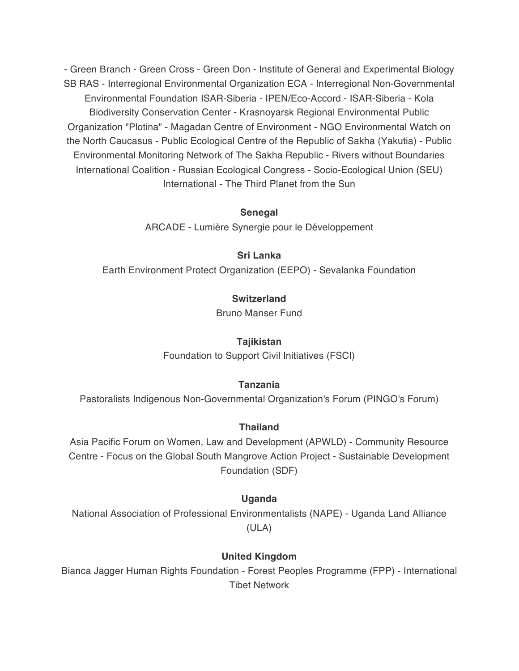- Green Branch - Green Cross - Green Don - Institute of General and Experimental Biology SB RAS - Interregional Environmental Organization ECA - Interregional Non-Governmental Environmental Foundation ISAR-Siberia - IPEN/Eco-Accord - ISAR-Siberia - Kola Biodiversity Conservation Center - Krasnoyarsk Regional Environmental Public Organization "Plotina" - Magadan Centre of Environment - NGO Environmental Watch on the North Caucasus - Public Ecological Centre of the Republic of Sakha (Yakutia) - Public Environmental Monitoring Network of The Sakha Republic - Rivers without Boundaries International Coalition - Russian Ecological Congress - Socio-Ecological Union (SEU) International - The Third Planet from the Sun

## **Senegal**

ARCADE - Lumière Synergie pour le Développement

# **Sri Lanka**

Earth Environment Protect Organization (EEPO) - Sevalanka Foundation

# **Switzerland**

Bruno Manser Fund

## **Tajikistan**

Foundation to Support Civil Initiatives (FSCI)

# **Tanzania**

Pastoralists Indigenous Non-Governmental Organization's Forum (PINGO's Forum)

#### **Thailand**

Asia Pacific Forum on Women, Law and Development (APWLD) - Community Resource Centre - Focus on the Global South Mangrove Action Project - Sustainable Development Foundation (SDF)

#### **Uganda**

National Association of Professional Environmentalists (NAPE) - Uganda Land Alliance (ULA)

# **United Kingdom**

Bianca Jagger Human Rights Foundation - Forest Peoples Programme (FPP) - International Tibet Network